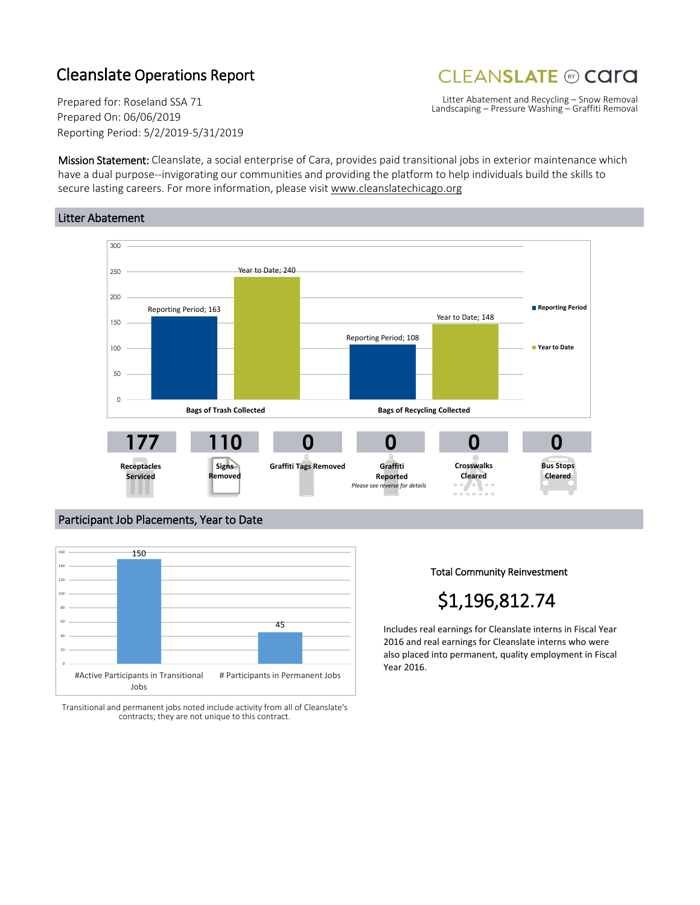### Cleanslate Operations Report

## **CLEANSLATE ® CATA**

Prepared for: Roseland SSA 71 Prepared On: 06/06/2019 Reporting Period: 5/2/2019-5/31/2019

Litter Abatement and Recycling – Snow Removal Landscaping – Pressure Washing – Graffiti Removal

Mission Statement: Cleanslate, a social enterprise of Cara, provides paid transitional jobs in exterior maintenance which have a dual purpose--invigorating our communities and providing the platform to help individuals build the skills to secure lasting careers. For more information, please visit www.cleanslatechicago.org

### Litter Abatement



### Participant Job Placements, Year to Date



Transitional and permanent jobs noted include activity from all of Cleanslate's contracts; they are not unique to this contract.

Total Community Reinvestment

# \$1,196,812.74

Includes real earnings for Cleanslate interns in Fiscal Year 2016 and real earnings for Cleanslate interns who were also placed into permanent, quality employment in Fiscal Year 2016.